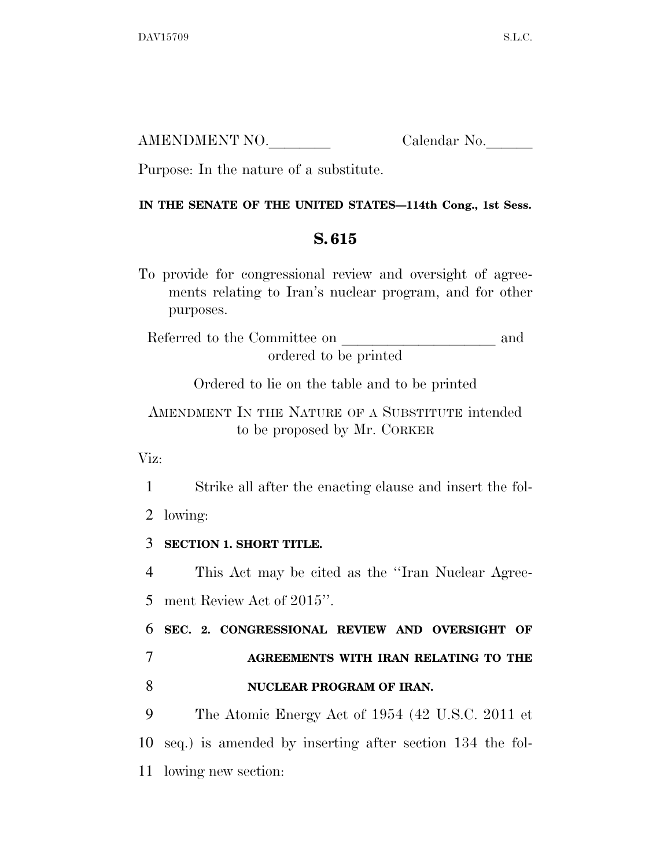| AMENDMENT NO. | Calendar No. |
|---------------|--------------|
|               |              |

Purpose: In the nature of a substitute.

## **IN THE SENATE OF THE UNITED STATES—114th Cong., 1st Sess.**

## **S. 615**

To provide for congressional review and oversight of agreements relating to Iran's nuclear program, and for other purposes.

Referred to the Committee on land ordered to be printed

Ordered to lie on the table and to be printed

AMENDMENT IN THE NATURE OF A SUBSTITUTE intended to be proposed by Mr. CORKER

Viz:

1 Strike all after the enacting clause and insert the fol-

2 lowing:

3 **SECTION 1. SHORT TITLE.** 

4 This Act may be cited as the ''Iran Nuclear Agree-5 ment Review Act of 2015''.

6 **SEC. 2. CONGRESSIONAL REVIEW AND OVERSIGHT OF**  7 **AGREEMENTS WITH IRAN RELATING TO THE** 

8 **NUCLEAR PROGRAM OF IRAN.** 

9 The Atomic Energy Act of 1954 (42 U.S.C. 2011 et 10 seq.) is amended by inserting after section 134 the fol-11 lowing new section: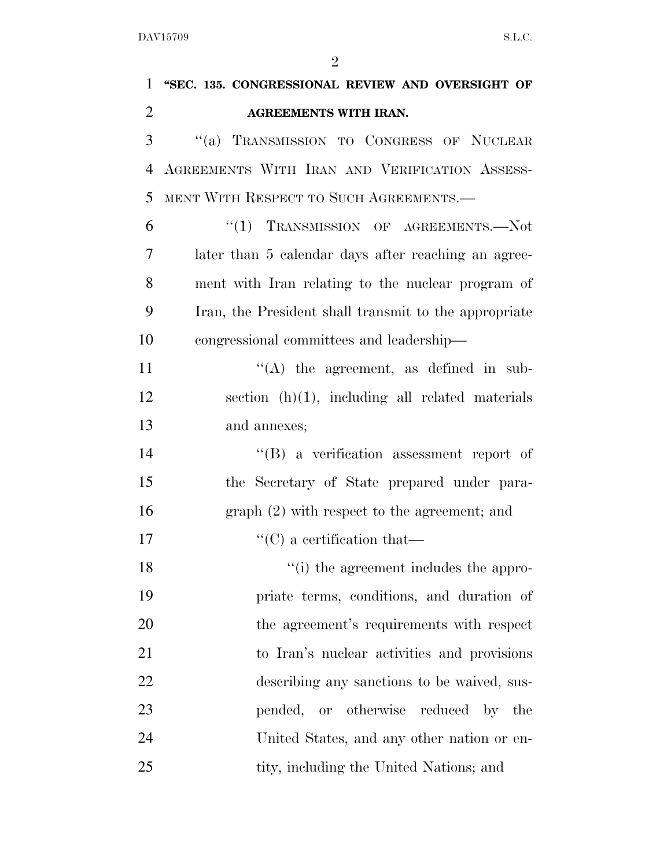| $\mathbf{1}$   | "SEC. 135. CONGRESSIONAL REVIEW AND OVERSIGHT OF      |
|----------------|-------------------------------------------------------|
| $\overline{2}$ | AGREEMENTS WITH IRAN.                                 |
| 3              | "(a) TRANSMISSION TO CONGRESS OF NUCLEAR              |
| $\overline{4}$ | AGREEMENTS WITH IRAN AND VERIFICATION ASSESS-         |
| 5              | MENT WITH RESPECT TO SUCH AGREEMENTS.                 |
| 6              | "(1) TRANSMISSION OF AGREEMENTS.-Not                  |
| 7              | later than 5 calendar days after reaching an agree-   |
| 8              | ment with Iran relating to the nuclear program of     |
| 9              | Iran, the President shall transmit to the appropriate |
| 10             | congressional committees and leadership—              |
| 11             | $\lq\lq$ the agreement, as defined in sub-            |
| 12             | section $(h)(1)$ , including all related materials    |
| 13             | and annexes;                                          |
| 14             | $\lq\lq (B)$ a verification assessment report of      |
| 15             | the Secretary of State prepared under para-           |
| 16             | $graph (2) with respect to the agreement; and$        |
| 17             | $\lq\lq$ (C) a certification that —                   |
| 18             | "(i) the agreement includes the appro-                |
| 19             | priate terms, conditions, and duration of             |
| 20             | the agreement's requirements with respect             |
| 21             | to Iran's nuclear activities and provisions           |
| 22             | describing any sanctions to be waived, sus-           |
| 23             | pended, or otherwise reduced by the                   |
| 24             | United States, and any other nation or en-            |
| 25             | tity, including the United Nations; and               |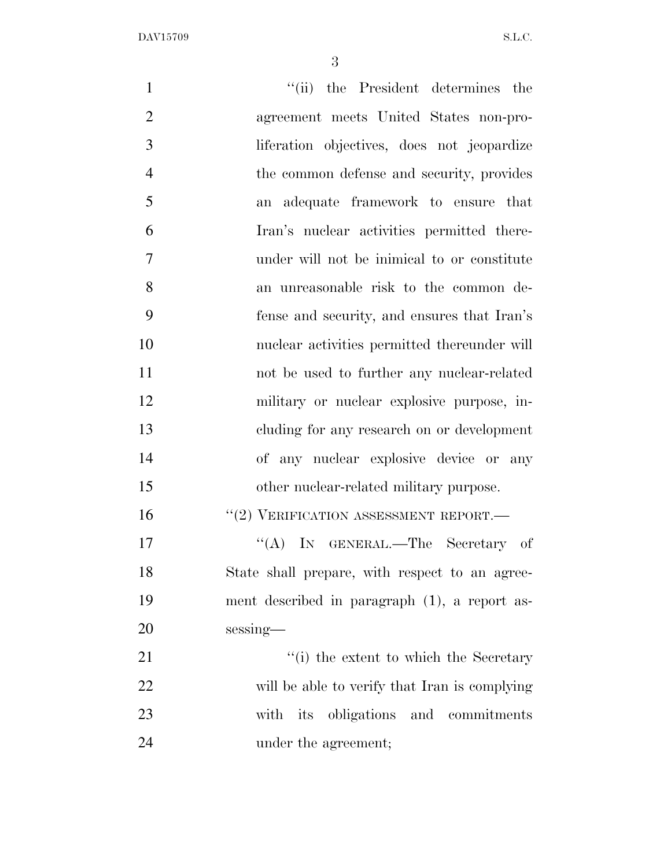| $\mathbf{1}$   | "(ii) the President determines the             |
|----------------|------------------------------------------------|
| $\overline{2}$ | agreement meets United States non-pro-         |
| 3              | liferation objectives, does not jeopardize     |
| $\overline{4}$ | the common defense and security, provides      |
| 5              | adequate framework to ensure that<br>an        |
| 6              | Iran's nuclear activities permitted there-     |
| 7              | under will not be inimical to or constitute    |
| 8              | an unreasonable risk to the common de-         |
| 9              | fense and security, and ensures that Iran's    |
| 10             | nuclear activities permitted thereunder will   |
| 11             | not be used to further any nuclear-related     |
| 12             | military or nuclear explosive purpose, in-     |
| 13             | cluding for any research on or development     |
| 14             | of any nuclear explosive device or any         |
| 15             | other nuclear-related military purpose.        |
| 16             | $``(2)$ VERIFICATION ASSESSMENT REPORT.—       |
| 17             | "(A) IN GENERAL.—The Secretary of              |
| 18             | State shall prepare, with respect to an agree- |
| 19             | ment described in paragraph (1), a report as-  |
| 20             | sessing—                                       |
| 21             | "(i) the extent to which the Secretary         |
| <u>22</u>      | will be able to verify that Iran is complying  |
| 23             | with its obligations and<br>commitments        |
| 24             | under the agreement;                           |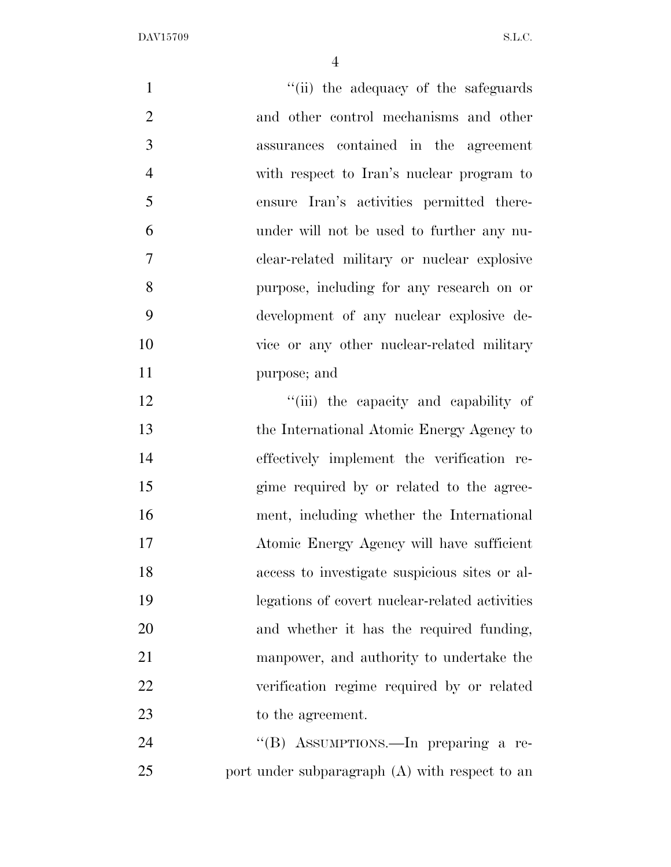1 ''(ii) the adequacy of the safeguards and other control mechanisms and other assurances contained in the agreement with respect to Iran's nuclear program to ensure Iran's activities permitted there- under will not be used to further any nu- clear-related military or nuclear explosive purpose, including for any research on or development of any nuclear explosive de- vice or any other nuclear-related military purpose; and  $\frac{1}{\sin}$  the capacity and capability of the International Atomic Energy Agency to effectively implement the verification re- gime required by or related to the agree- ment, including whether the International Atomic Energy Agency will have sufficient access to investigate suspicious sites or al- legations of covert nuclear-related activities and whether it has the required funding, manpower, and authority to undertake the verification regime required by or related to the agreement. 24 "(B) ASSUMPTIONS.—In preparing a re-

port under subparagraph (A) with respect to an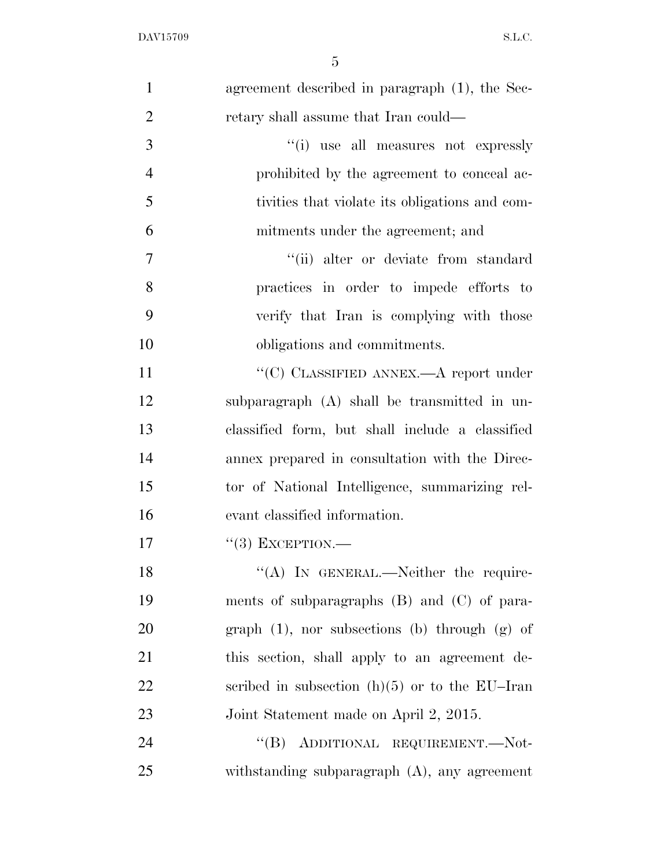| $\mathbf{1}$   | agreement described in paragraph (1), the Sec-       |
|----------------|------------------------------------------------------|
| $\overline{2}$ | retary shall assume that Iran could—                 |
| 3              | "(i) use all measures not expressly                  |
| $\overline{4}$ | prohibited by the agreement to conceal ac-           |
| 5              | tivities that violate its obligations and com-       |
| 6              | mitments under the agreement; and                    |
| $\overline{7}$ | "(ii) alter or deviate from standard                 |
| 8              | practices in order to impede efforts to              |
| 9              | verify that Iran is complying with those             |
| 10             | obligations and commitments.                         |
| 11             | "(C) CLASSIFIED ANNEX.—A report under                |
| 12             | subparagraph (A) shall be transmitted in un-         |
| 13             | classified form, but shall include a classified      |
| 14             | annex prepared in consultation with the Direc-       |
| 15             | tor of National Intelligence, summarizing rel-       |
| 16             | evant classified information.                        |
| 17             | $``(3)$ EXCEPTION.—                                  |
| 18             | "(A) IN GENERAL.—Neither the require-                |
| 19             | ments of subparagraphs $(B)$ and $(C)$ of para-      |
| 20             | graph $(1)$ , nor subsections $(b)$ through $(g)$ of |
| 21             | this section, shall apply to an agreement de-        |
| 22             | scribed in subsection $(h)(5)$ or to the EU-Iran     |
| 23             | Joint Statement made on April 2, 2015.               |
| 24             | "(B) ADDITIONAL REQUIREMENT.—Not-                    |
| 25             | withstanding subparagraph $(A)$ , any agreement      |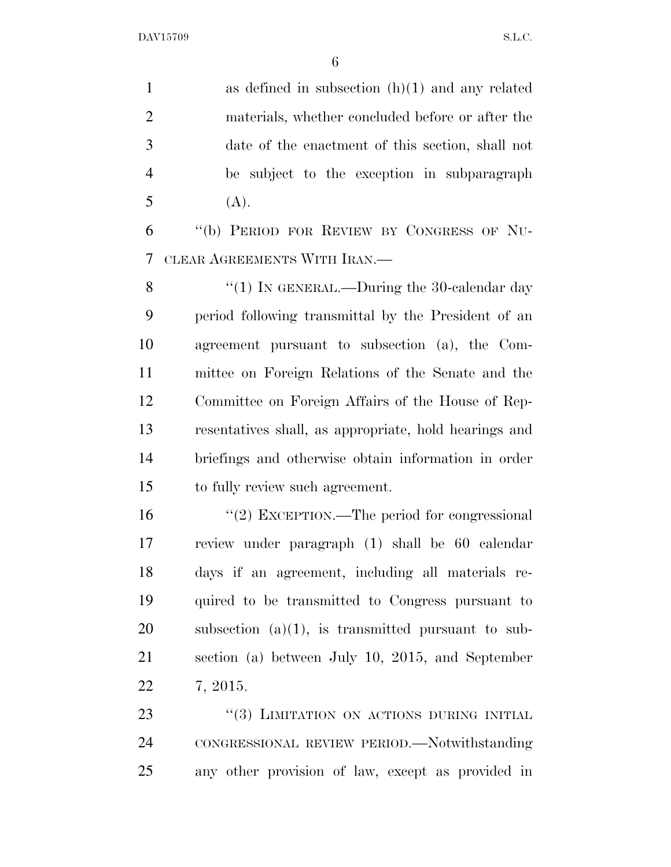1 as defined in subsection  $(h)(1)$  and any related materials, whether concluded before or after the date of the enactment of this section, shall not be subject to the exception in subparagraph (A). ''(b) PERIOD FOR REVIEW BY CONGRESS OF NU- CLEAR AGREEMENTS WITH IRAN.— 8 "(1) In GENERAL.—During the 30-calendar day period following transmittal by the President of an agreement pursuant to subsection (a), the Com- mittee on Foreign Relations of the Senate and the Committee on Foreign Affairs of the House of Rep- resentatives shall, as appropriate, hold hearings and briefings and otherwise obtain information in order to fully review such agreement.  $\frac{1}{2}$  EXCEPTION.—The period for congressional review under paragraph (1) shall be 60 calendar days if an agreement, including all materials re- quired to be transmitted to Congress pursuant to subsection (a)(1), is transmitted pursuant to sub- section (a) between July 10, 2015, and September 7, 2015. 23 "(3) LIMITATION ON ACTIONS DURING INITIAL CONGRESSIONAL REVIEW PERIOD.—Notwithstanding

any other provision of law, except as provided in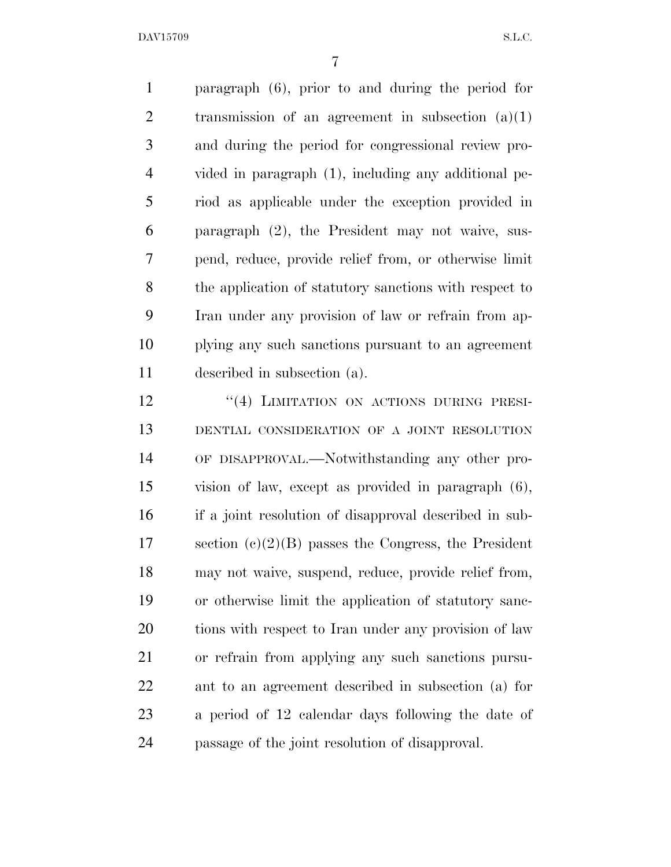paragraph (6), prior to and during the period for 2 transmission of an agreement in subsection  $(a)(1)$  and during the period for congressional review pro- vided in paragraph (1), including any additional pe- riod as applicable under the exception provided in paragraph (2), the President may not waive, sus- pend, reduce, provide relief from, or otherwise limit the application of statutory sanctions with respect to Iran under any provision of law or refrain from ap- plying any such sanctions pursuant to an agreement described in subsection (a).

12 "(4) LIMITATION ON ACTIONS DURING PRESI- DENTIAL CONSIDERATION OF A JOINT RESOLUTION OF DISAPPROVAL.—Notwithstanding any other pro- vision of law, except as provided in paragraph (6), if a joint resolution of disapproval described in sub- section (c)(2)(B) passes the Congress, the President may not waive, suspend, reduce, provide relief from, or otherwise limit the application of statutory sanc-20 tions with respect to Iran under any provision of law or refrain from applying any such sanctions pursu- ant to an agreement described in subsection (a) for a period of 12 calendar days following the date of passage of the joint resolution of disapproval.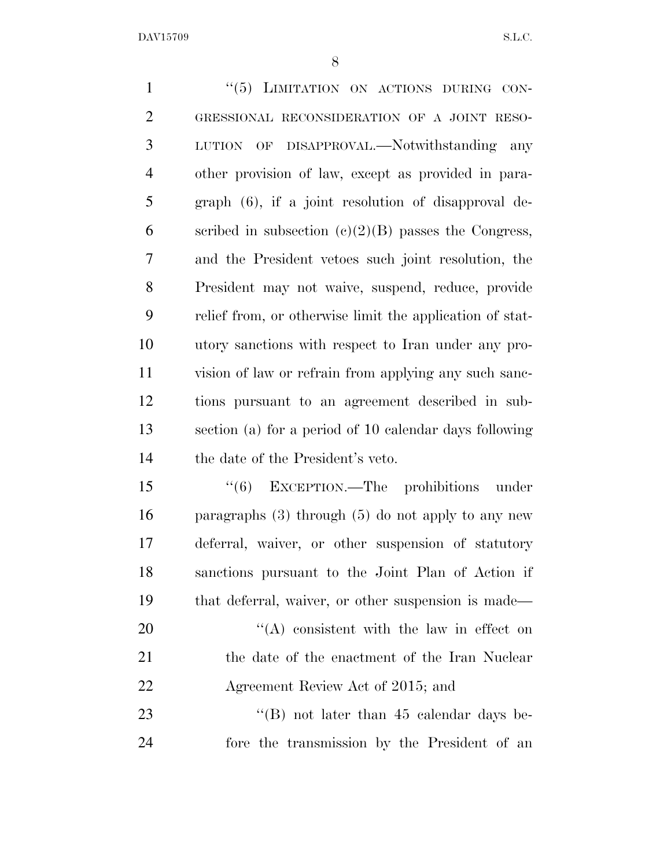1 "(5) LIMITATION ON ACTIONS DURING CON- GRESSIONAL RECONSIDERATION OF A JOINT RESO- LUTION OF DISAPPROVAL.—Notwithstanding any other provision of law, except as provided in para- graph (6), if a joint resolution of disapproval de-6 scribed in subsection  $(e)(2)(B)$  passes the Congress, and the President vetoes such joint resolution, the President may not waive, suspend, reduce, provide relief from, or otherwise limit the application of stat- utory sanctions with respect to Iran under any pro- vision of law or refrain from applying any such sanc- tions pursuant to an agreement described in sub- section (a) for a period of 10 calendar days following the date of the President's veto. ''(6) EXCEPTION.—The prohibitions under paragraphs (3) through (5) do not apply to any new deferral, waiver, or other suspension of statutory sanctions pursuant to the Joint Plan of Action if that deferral, waiver, or other suspension is made—  $\langle (A)$  consistent with the law in effect on the date of the enactment of the Iran Nuclear 22 Agreement Review Act of 2015; and 23 "'(B) not later than 45 calendar days be-

fore the transmission by the President of an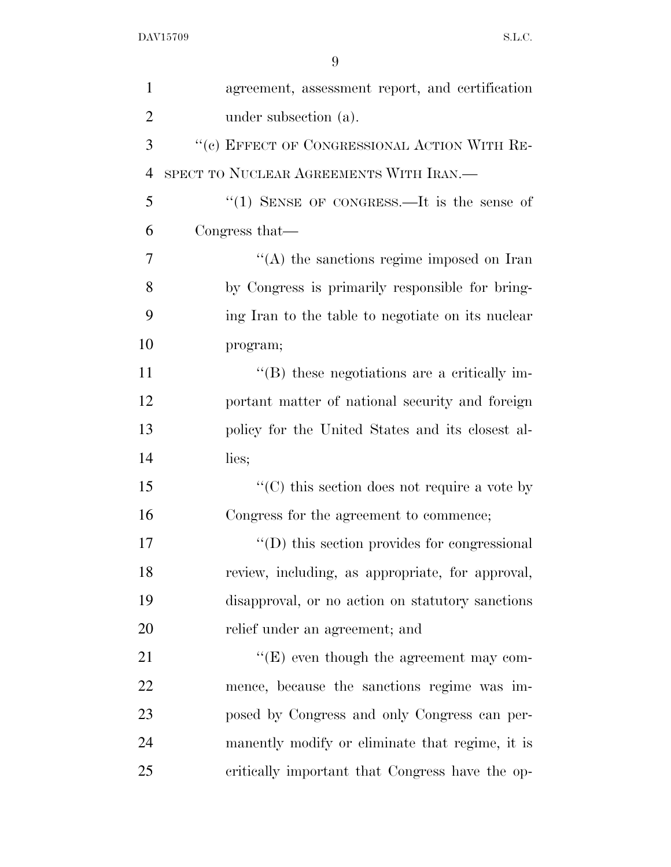| $\mathbf{1}$   | agreement, assessment report, and certification   |
|----------------|---------------------------------------------------|
| $\overline{2}$ | under subsection (a).                             |
| 3              | "(c) EFFECT OF CONGRESSIONAL ACTION WITH RE-      |
| $\overline{4}$ | SPECT TO NUCLEAR AGREEMENTS WITH IRAN.—           |
| 5              | "(1) SENSE OF CONGRESS.—It is the sense of        |
| 6              | Congress that—                                    |
| 7              | $\lq\lq$ the sanctions regime imposed on Iran     |
| 8              | by Congress is primarily responsible for bring-   |
| 9              | ing Iran to the table to negotiate on its nuclear |
| 10             | program;                                          |
| 11             | "(B) these negotiations are a critically im-      |
| 12             | portant matter of national security and foreign   |
| 13             | policy for the United States and its closest al-  |
| 14             | lies;                                             |
| 15             | " $(C)$ this section does not require a vote by   |
| 16             | Congress for the agreement to commence;           |
| 17             | $\lq\lq$ this section provides for congressional  |
| 18             | review, including, as appropriate, for approval,  |
| 19             | disapproval, or no action on statutory sanctions  |
| 20             | relief under an agreement; and                    |
| 21             | $\lq\lq(E)$ even though the agreement may com-    |
| 22             | mence, because the sanctions regime was im-       |
| 23             | posed by Congress and only Congress can per-      |
| 24             | manently modify or eliminate that regime, it is   |
| 25             | critically important that Congress have the op-   |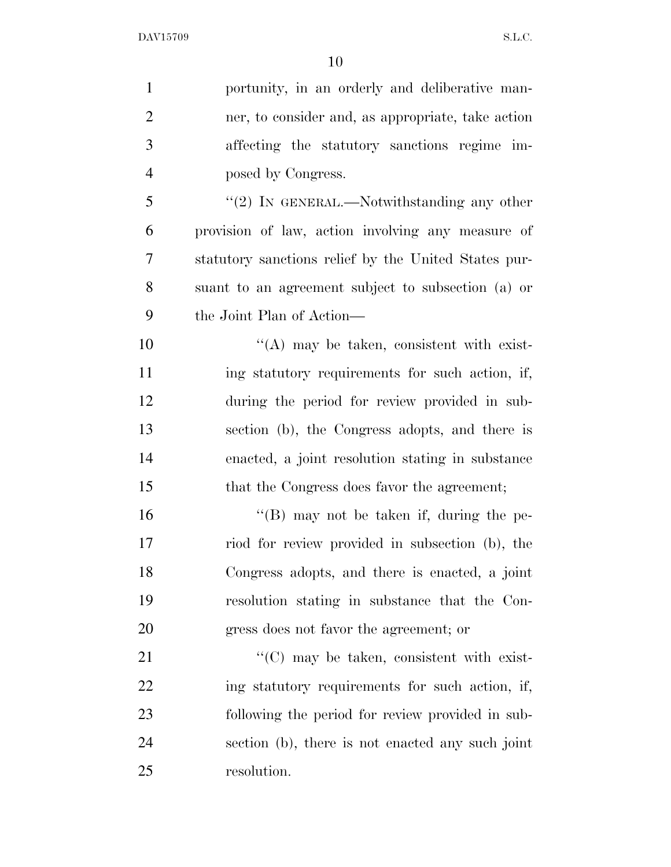| $\mathbf{1}$   | portunity, in an orderly and deliberative man-       |
|----------------|------------------------------------------------------|
| $\overline{2}$ | ner, to consider and, as appropriate, take action    |
| 3              | affecting the statutory sanctions regime im-         |
| $\overline{4}$ | posed by Congress.                                   |
| 5              | " $(2)$ In GENERAL.—Notwithstanding any other        |
| 6              | provision of law, action involving any measure of    |
| 7              | statutory sanctions relief by the United States pur- |
| 8              | suant to an agreement subject to subsection (a) or   |
| 9              | the Joint Plan of Action—                            |
| 10             | $\lq\lq$ may be taken, consistent with exist-        |
| 11             | ing statutory requirements for such action, if,      |
| 12             | during the period for review provided in sub-        |
| 13             | section (b), the Congress adopts, and there is       |
| 14             | enacted, a joint resolution stating in substance     |
| 15             | that the Congress does favor the agreement;          |
| 16             | $\lq\lq (B)$ may not be taken if, during the pe-     |
| 17             | riod for review provided in subsection (b), the      |
| 18             | Congress adopts, and there is enacted, a joint       |
| 19             | resolution stating in substance that the Con-        |
| 20             | gress does not favor the agreement; or               |
| 21             | "(C) may be taken, consistent with exist-            |
| 22             | ing statutory requirements for such action, if,      |
| 23             | following the period for review provided in sub-     |
| 24             | section (b), there is not enacted any such joint     |
| 25             | resolution.                                          |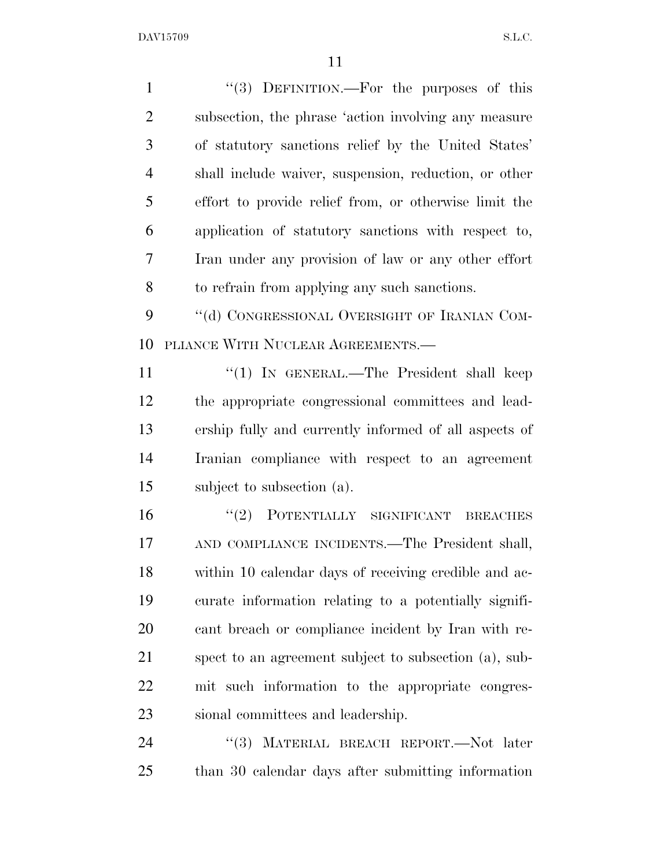1 "(3) DEFINITION.—For the purposes of this subsection, the phrase 'action involving any measure of statutory sanctions relief by the United States' shall include waiver, suspension, reduction, or other effort to provide relief from, or otherwise limit the application of statutory sanctions with respect to, Iran under any provision of law or any other effort to refrain from applying any such sanctions. 9 "(d) CONGRESSIONAL OVERSIGHT OF IRANIAN COM- PLIANCE WITH NUCLEAR AGREEMENTS.— 11 ''(1) In GENERAL.—The President shall keep the appropriate congressional committees and lead-

 ership fully and currently informed of all aspects of Iranian compliance with respect to an agreement subject to subsection (a).

 ''(2) POTENTIALLY SIGNIFICANT BREACHES AND COMPLIANCE INCIDENTS.—The President shall, within 10 calendar days of receiving credible and ac- curate information relating to a potentially signifi- cant breach or compliance incident by Iran with re- spect to an agreement subject to subsection (a), sub- mit such information to the appropriate congres-sional committees and leadership.

24 "(3) MATERIAL BREACH REPORT.—Not later than 30 calendar days after submitting information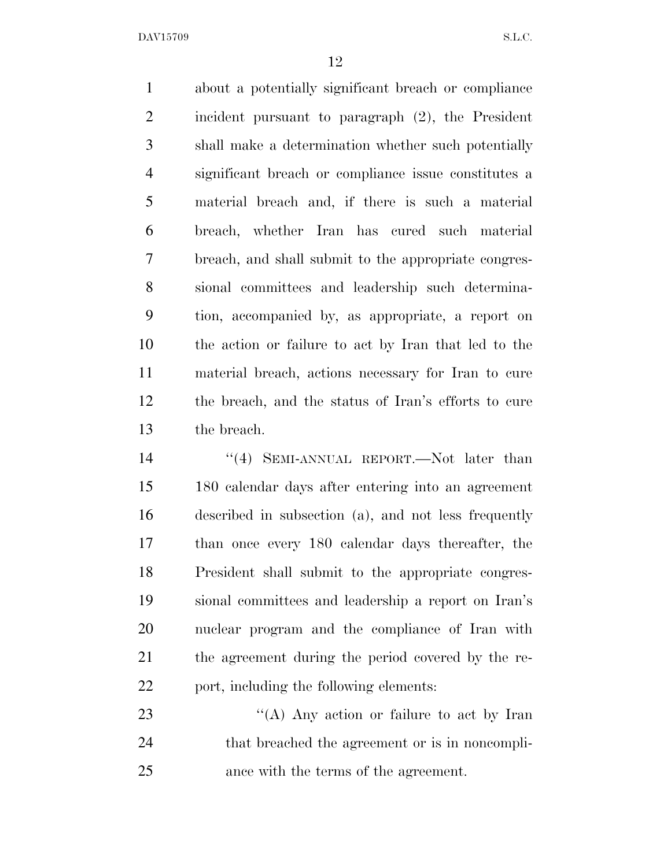about a potentially significant breach or compliance incident pursuant to paragraph (2), the President shall make a determination whether such potentially significant breach or compliance issue constitutes a material breach and, if there is such a material breach, whether Iran has cured such material breach, and shall submit to the appropriate congres- sional committees and leadership such determina- tion, accompanied by, as appropriate, a report on the action or failure to act by Iran that led to the material breach, actions necessary for Iran to cure the breach, and the status of Iran's efforts to cure the breach.

14 "(4) SEMI-ANNUAL REPORT.—Not later than 180 calendar days after entering into an agreement described in subsection (a), and not less frequently than once every 180 calendar days thereafter, the President shall submit to the appropriate congres- sional committees and leadership a report on Iran's nuclear program and the compliance of Iran with the agreement during the period covered by the re-port, including the following elements:

23 "(A) Any action or failure to act by Iran that breached the agreement or is in noncompli-ance with the terms of the agreement.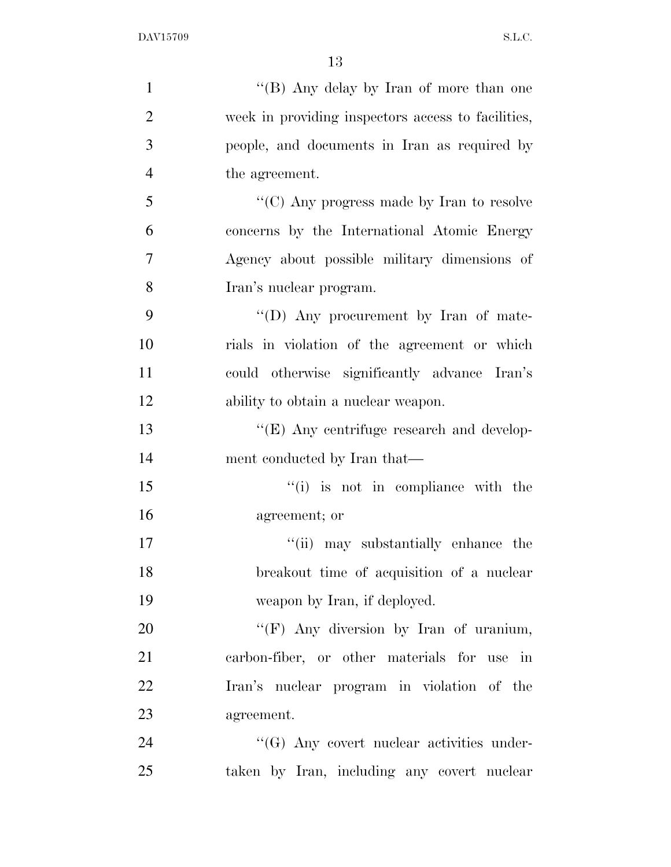| $\mathbf{1}$   | "(B) Any delay by Iran of more than one            |
|----------------|----------------------------------------------------|
| $\overline{2}$ | week in providing inspectors access to facilities, |
| 3              | people, and documents in Iran as required by       |
| $\overline{4}$ | the agreement.                                     |
| 5              | "(C) Any progress made by Iran to resolve          |
| 6              | concerns by the International Atomic Energy        |
| 7              | Agency about possible military dimensions of       |
| 8              | Iran's nuclear program.                            |
| 9              | "(D) Any procurement by Iran of mate-              |
| 10             | rials in violation of the agreement or which       |
| 11             | could otherwise significantly advance Iran's       |
| 12             | ability to obtain a nuclear weapon.                |
| 13             | "(E) Any centrifuge research and develop-          |
| 14             | ment conducted by Iran that—                       |
| 15             | "(i) is not in compliance with the                 |
| 16             | agreement; or                                      |
| 17             | "(ii) may substantially enhance the                |
| 18             | breakout time of acquisition of a nuclear          |
| 19             | weapon by Iran, if deployed.                       |
| 20             | "(F) Any diversion by Iran of uranium,             |
| 21             | carbon-fiber, or other materials for use in        |
| 22             | Iran's nuclear program in violation of the         |
| 23             | agreement.                                         |
| 24             | $\lq\lq (G)$ Any covert nuclear activities under-  |
| 25             | taken by Iran, including any covert nuclear        |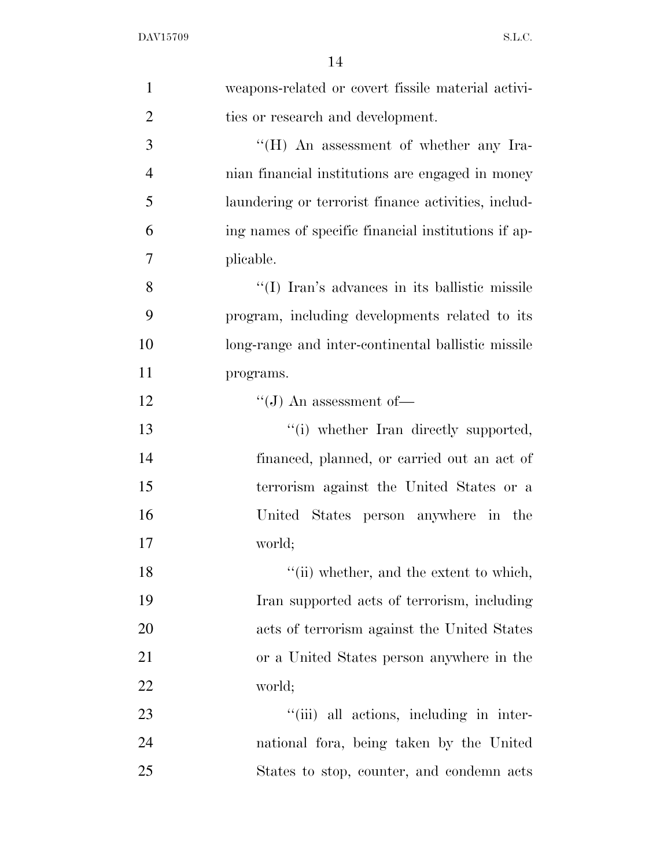| $\mathbf{1}$   | weapons-related or covert fissile material activi-  |
|----------------|-----------------------------------------------------|
| $\overline{2}$ | ties or research and development.                   |
| 3              | "(H) An assessment of whether any Ira-              |
| $\overline{4}$ | nian financial institutions are engaged in money    |
| 5              | laundering or terrorist finance activities, includ- |
| 6              | ing names of specific financial institutions if ap- |
| 7              | plicable.                                           |
| 8              | "(I) Iran's advances in its ballistic missile       |
| 9              | program, including developments related to its      |
| 10             | long-range and inter-continental ballistic missile  |
| 11             | programs.                                           |
| 12             | $\lq\lq (J)$ An assessment of —                     |
| 13             | "(i) whether Iran directly supported,               |
| 14             | financed, planned, or carried out an act of         |
| 15             | terrorism against the United States or a            |
| 16             | United States person anywhere in the                |
| 17             | world;                                              |
| 18             | "(ii) whether, and the extent to which,             |
| 19             | Iran supported acts of terrorism, including         |
| 20             | acts of terrorism against the United States         |
| 21             | or a United States person anywhere in the           |
| 22             | world;                                              |
| 23             | "(iii) all actions, including in inter-             |
| 24             | national fora, being taken by the United            |
| 25             | States to stop, counter, and condemn acts           |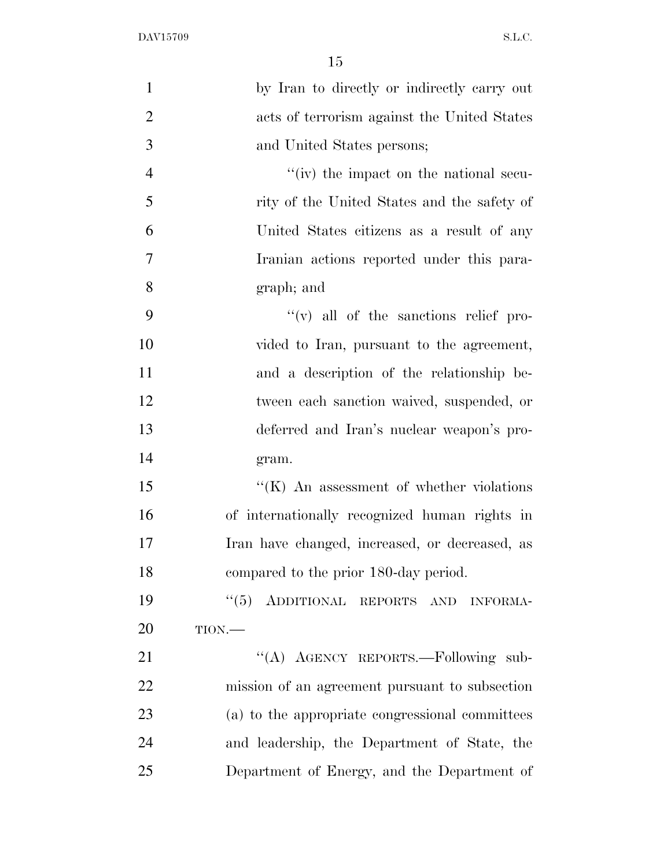| $\mathbf{1}$   | by Iran to directly or indirectly carry out      |
|----------------|--------------------------------------------------|
| $\overline{2}$ | acts of terrorism against the United States      |
| 3              | and United States persons;                       |
| $\overline{4}$ | $\lq\lq$ (iv) the impact on the national secu-   |
| 5              | rity of the United States and the safety of      |
| 6              | United States citizens as a result of any        |
| 7              | Iranian actions reported under this para-        |
| 8              | graph; and                                       |
| 9              | $\lq\lq$ (v) all of the sanctions relief pro-    |
| 10             | vided to Iran, pursuant to the agreement,        |
| 11             | and a description of the relationship be-        |
| 12             | tween each sanction waived, suspended, or        |
| 13             | deferred and Iran's nuclear weapon's pro-        |
| 14             | gram.                                            |
| 15             | $\lq\lq$ (K) An assessment of whether violations |
| 16             | of internationally recognized human rights in    |
| 17             | Iran have changed, increased, or decreased, as   |
| 18             | compared to the prior 180-day period.            |
| 19             | ADDITIONAL REPORTS AND<br>(5)<br>INFORMA-        |
| 20             | TION.                                            |
| 21             | "(A) AGENCY REPORTS.—Following sub-              |
| 22             | mission of an agreement pursuant to subsection   |
| 23             | (a) to the appropriate congressional committees  |
| 24             | and leadership, the Department of State, the     |
| 25             | Department of Energy, and the Department of      |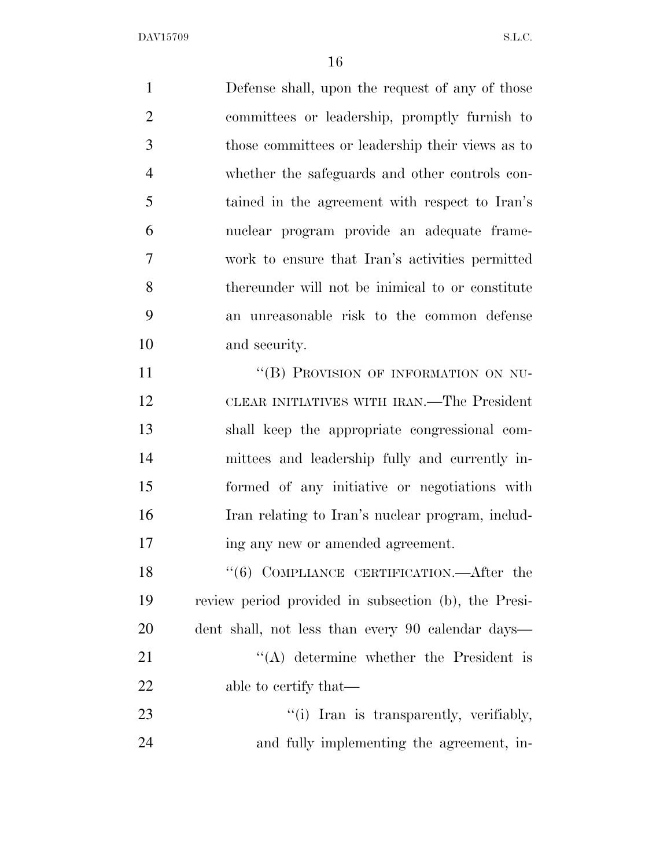Defense shall, upon the request of any of those committees or leadership, promptly furnish to those committees or leadership their views as to whether the safeguards and other controls con- tained in the agreement with respect to Iran's nuclear program provide an adequate frame- work to ensure that Iran's activities permitted thereunder will not be inimical to or constitute an unreasonable risk to the common defense and security. 11 ""(B) PROVISION OF INFORMATION ON NU- CLEAR INITIATIVES WITH IRAN.—The President shall keep the appropriate congressional com- mittees and leadership fully and currently in- formed of any initiative or negotiations with Iran relating to Iran's nuclear program, includ- ing any new or amended agreement. 18 "(6) COMPLIANCE CERTIFICATION.—After the review period provided in subsection (b), the Presi-

 dent shall, not less than every 90 calendar days— 21 ''(A) determine whether the President is

22 able to certify that—

23  $\frac{1}{1}$  Tran is transparently, verifiably, and fully implementing the agreement, in-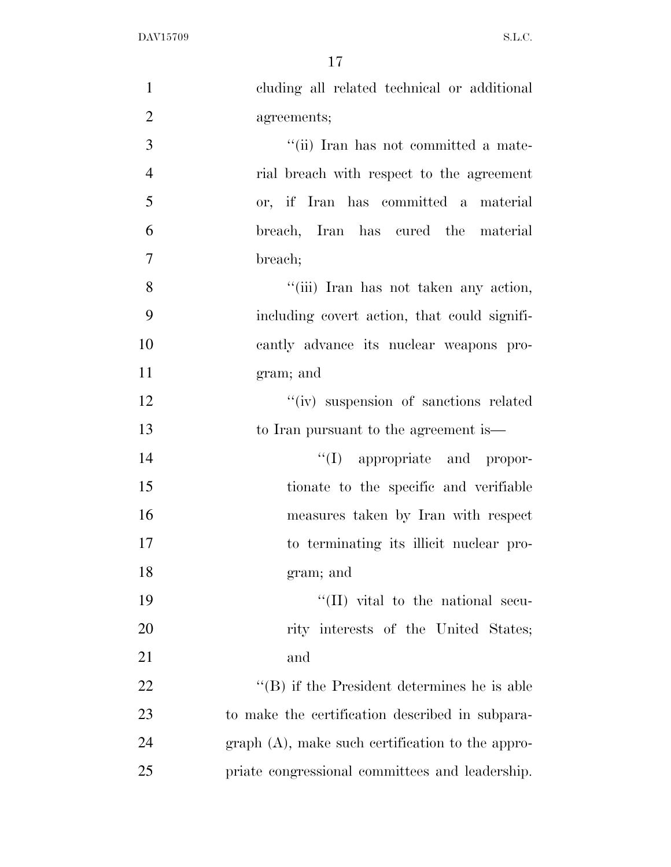| $\mathbf{1}$   | cluding all related technical or additional        |
|----------------|----------------------------------------------------|
| $\overline{2}$ | agreements;                                        |
| 3              | "(ii) Iran has not committed a mate-               |
| $\overline{4}$ | rial breach with respect to the agreement          |
| 5              | or, if Iran has committed a material               |
| 6              | breach, Iran has cured the material                |
| $\overline{7}$ | breach;                                            |
| 8              | "(iii) Iran has not taken any action,              |
| 9              | including covert action, that could signifi-       |
| 10             | cantly advance its nuclear weapons pro-            |
| 11             | gram; and                                          |
| 12             | "(iv) suspension of sanctions related              |
| 13             | to Iran pursuant to the agreement is—              |
| 14             | $\lq\lq$ (I) appropriate and propor-               |
| 15             | tionate to the specific and verifiable             |
| 16             | measures taken by Iran with respect                |
| 17             | to terminating its illicit nuclear pro-            |
| 18             | gram; and                                          |
| 19             | "(II) vital to the national secu-                  |
| 20             | rity interests of the United States;               |
| 21             | and                                                |
| 22             | $\lq\lq$ if the President determines he is able    |
| 23             | to make the certification described in subpara-    |
| 24             | $graph(A)$ , make such certification to the appro- |
| 25             | priate congressional committees and leadership.    |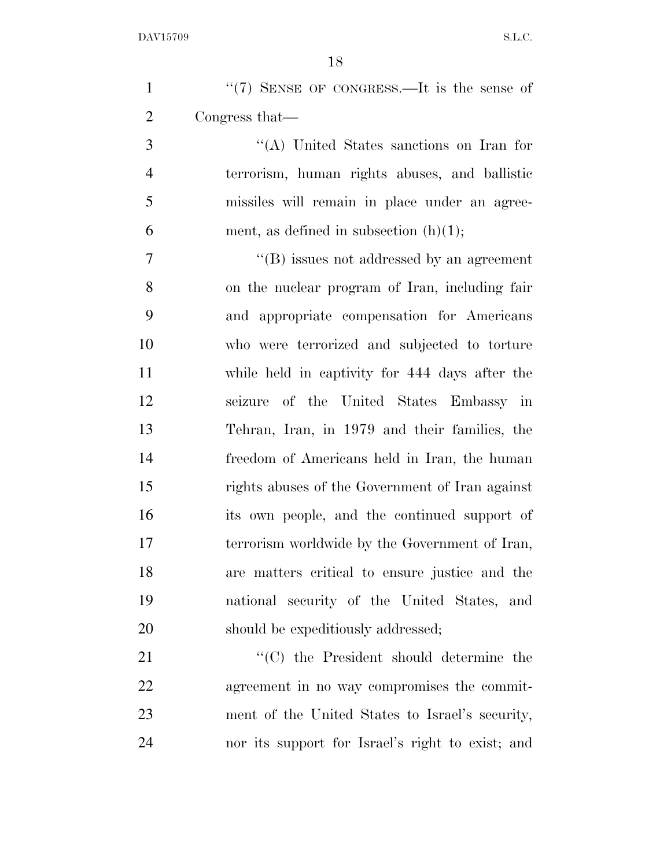| $\mathbf{1}$   | $\lq(7)$ SENSE OF CONGRESS.—It is the sense of   |
|----------------|--------------------------------------------------|
| $\overline{2}$ | Congress that—                                   |
| 3              | "(A) United States sanctions on Iran for         |
| $\overline{4}$ | terrorism, human rights abuses, and ballistic    |
| 5              | missiles will remain in place under an agree-    |
| 6              | ment, as defined in subsection $(h)(1)$ ;        |
| $\tau$         | $\cdot$ (B) issues not addressed by an agreement |
| 8              | on the nuclear program of Iran, including fair   |
| 9              | and appropriate compensation for Americans       |
| 10             | who were terrorized and subjected to torture     |
| 11             | while held in captivity for 444 days after the   |
| 12             | seizure of the United States Embassy in          |
| 13             | Tehran, Iran, in 1979 and their families, the    |
| 14             | freedom of Americans held in Iran, the human     |
| 15             | rights abuses of the Government of Iran against  |
| 16             | its own people, and the continued support of     |
| 17             | terrorism worldwide by the Government of Iran,   |
| 18             | are matters critical to ensure justice and the   |
| 19             | national security of the United States, and      |
| 20             | should be expeditiously addressed;               |
| 21             | "(C) the President should determine the          |
| 22             | agreement in no way compromises the commit-      |
| 23             | ment of the United States to Israel's security,  |
| 24             | nor its support for Israel's right to exist; and |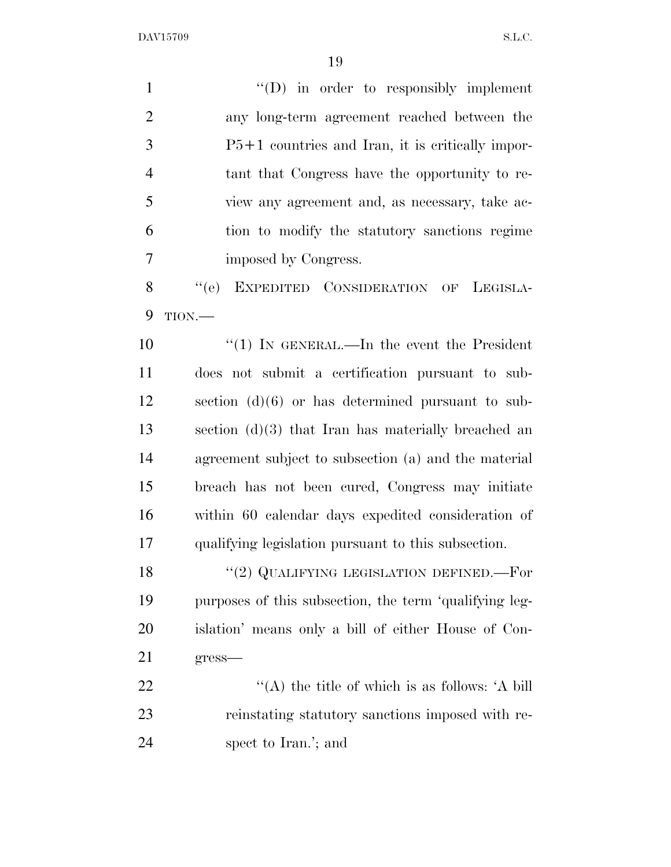$\langle (D)$  in order to responsibly implement any long-term agreement reached between the P5+1 countries and Iran, it is critically impor- tant that Congress have the opportunity to re- view any agreement and, as necessary, take ac- tion to modify the statutory sanctions regime imposed by Congress. 8 "(e) EXPEDITED CONSIDERATION OF LEGISLA- TION.— ''(1) IN GENERAL.—In the event the President does not submit a certification pursuant to sub- section (d)(6) or has determined pursuant to sub- section (d)(3) that Iran has materially breached an agreement subject to subsection (a) and the material breach has not been cured, Congress may initiate within 60 calendar days expedited consideration of qualifying legislation pursuant to this subsection. 18 "(2) QUALIFYING LEGISLATION DEFINED.—For purposes of this subsection, the term 'qualifying leg- islation' means only a bill of either House of Con- gress—  $\langle (A)$  the title of which is as follows: 'A bill reinstating statutory sanctions imposed with re-24 spect to Iran.'; and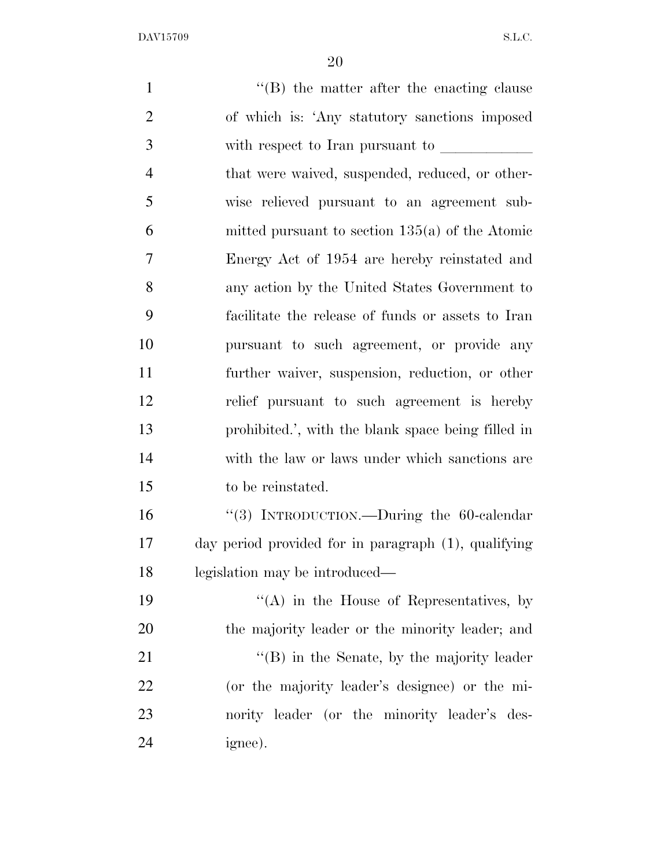| $\mathbf{1}$   | $\lq\lq$ the matter after the enacting clause                                                                                                                                                                                                                                                                                                                                                         |
|----------------|-------------------------------------------------------------------------------------------------------------------------------------------------------------------------------------------------------------------------------------------------------------------------------------------------------------------------------------------------------------------------------------------------------|
| $\overline{2}$ | of which is: 'Any statutory sanctions imposed                                                                                                                                                                                                                                                                                                                                                         |
| 3              | with respect to Iran pursuant to $\frac{1}{\sqrt{1-\frac{1}{\sqrt{1-\frac{1}{\sqrt{1-\frac{1}{\sqrt{1-\frac{1}{\sqrt{1-\frac{1}{\sqrt{1-\frac{1}{\sqrt{1-\frac{1}{\sqrt{1-\frac{1}{\sqrt{1-\frac{1}{\sqrt{1-\frac{1}{\sqrt{1-\frac{1}{\sqrt{1-\frac{1}{\sqrt{1-\frac{1}{\sqrt{1-\frac{1}{\sqrt{1-\frac{1}{\sqrt{1-\frac{1}{\sqrt{1-\frac{1}{\sqrt{1-\frac{1}{\sqrt{1-\frac{1}{\sqrt{1-\frac{1}{\sqrt$ |
| $\overline{4}$ | that were waived, suspended, reduced, or other-                                                                                                                                                                                                                                                                                                                                                       |
| 5              | wise relieved pursuant to an agreement sub-                                                                                                                                                                                                                                                                                                                                                           |
| 6              | mitted pursuant to section $135(a)$ of the Atomic                                                                                                                                                                                                                                                                                                                                                     |
| 7              | Energy Act of 1954 are hereby reinstated and                                                                                                                                                                                                                                                                                                                                                          |
| 8              | any action by the United States Government to                                                                                                                                                                                                                                                                                                                                                         |
| 9              | facilitate the release of funds or assets to Iran                                                                                                                                                                                                                                                                                                                                                     |
| 10             | pursuant to such agreement, or provide any                                                                                                                                                                                                                                                                                                                                                            |
| 11             | further waiver, suspension, reduction, or other                                                                                                                                                                                                                                                                                                                                                       |
| 12             | relief pursuant to such agreement is hereby                                                                                                                                                                                                                                                                                                                                                           |
| 13             | prohibited.', with the blank space being filled in                                                                                                                                                                                                                                                                                                                                                    |
| 14             | with the law or laws under which sanctions are                                                                                                                                                                                                                                                                                                                                                        |
| 15             | to be reinstated.                                                                                                                                                                                                                                                                                                                                                                                     |
| 16             | "(3) INTRODUCTION.—During the $60$ -calendar                                                                                                                                                                                                                                                                                                                                                          |
| 17             | day period provided for in paragraph (1), qualifying                                                                                                                                                                                                                                                                                                                                                  |
| 18             | legislation may be introduced—                                                                                                                                                                                                                                                                                                                                                                        |
| 19             | $\lq\lq$ in the House of Representatives, by                                                                                                                                                                                                                                                                                                                                                          |
| 20             | the majority leader or the minority leader; and                                                                                                                                                                                                                                                                                                                                                       |
| 21             | $\lq\lq$ (B) in the Senate, by the majority leader                                                                                                                                                                                                                                                                                                                                                    |
| 22             | (or the majority leader's designee) or the mi-                                                                                                                                                                                                                                                                                                                                                        |
| 23             | nority leader (or the minority leader's des-                                                                                                                                                                                                                                                                                                                                                          |
| 24             | ignee).                                                                                                                                                                                                                                                                                                                                                                                               |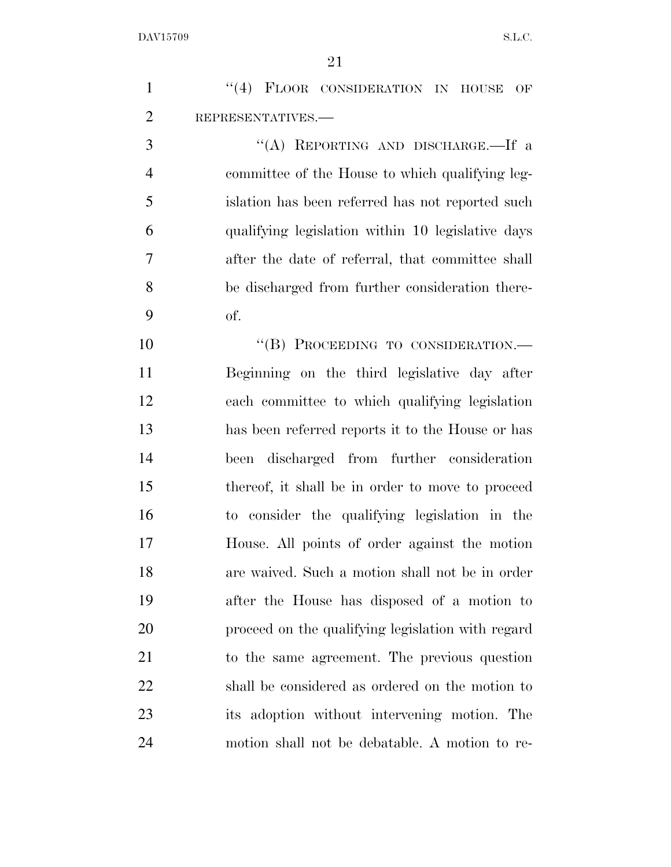| $\mathbf{1}$   | "(4) FLOOR CONSIDERATION IN HOUSE<br>OF           |
|----------------|---------------------------------------------------|
| $\overline{2}$ | REPRESENTATIVES.-                                 |
| 3              | "(A) REPORTING AND DISCHARGE.—If a                |
| $\overline{4}$ | committee of the House to which qualifying leg-   |
| 5              | islation has been referred has not reported such  |
| 6              | qualifying legislation within 10 legislative days |
| $\overline{7}$ | after the date of referral, that committee shall  |
| 8              | be discharged from further consideration there-   |
| 9              | of.                                               |
| 10             | "(B) PROCEEDING TO CONSIDERATION.-                |
| 11             | Beginning on the third legislative day after      |
| 12             | each committee to which qualifying legislation    |
| 13             | has been referred reports it to the House or has  |
| 14             | been discharged from further consideration        |
| 15             | thereof, it shall be in order to move to proceed  |
| 16             | to consider the qualifying legislation in the     |
| 17             | House. All points of order against the motion     |
| 18             | are waived. Such a motion shall not be in order   |
| 19             | after the House has disposed of a motion to       |
| <b>20</b>      | proceed on the qualifying legislation with regard |
| 21             | to the same agreement. The previous question      |
| 22             | shall be considered as ordered on the motion to   |
| 23             | its adoption without intervening motion. The      |
| 24             | motion shall not be debatable. A motion to re-    |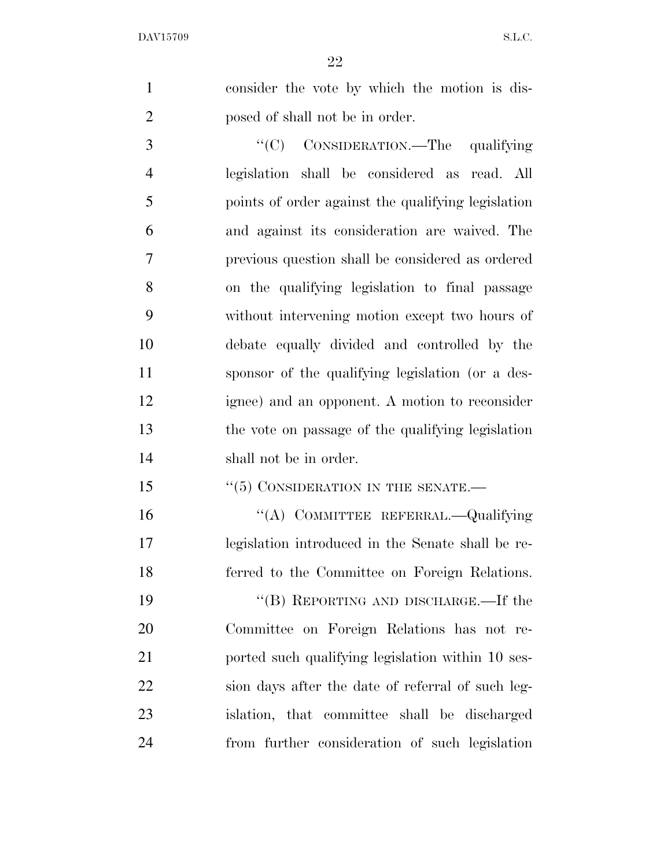consider the vote by which the motion is dis-posed of shall not be in order.

 ''(C) CONSIDERATION.—The qualifying legislation shall be considered as read. All points of order against the qualifying legislation and against its consideration are waived. The previous question shall be considered as ordered on the qualifying legislation to final passage without intervening motion except two hours of debate equally divided and controlled by the sponsor of the qualifying legislation (or a des- ignee) and an opponent. A motion to reconsider the vote on passage of the qualifying legislation shall not be in order.

15 "(5) CONSIDERATION IN THE SENATE.—

 ''(A) COMMITTEE REFERRAL.—Qualifying legislation introduced in the Senate shall be re- ferred to the Committee on Foreign Relations. ''(B) REPORTING AND DISCHARGE.—If the Committee on Foreign Relations has not re- ported such qualifying legislation within 10 ses- sion days after the date of referral of such leg-islation, that committee shall be discharged

from further consideration of such legislation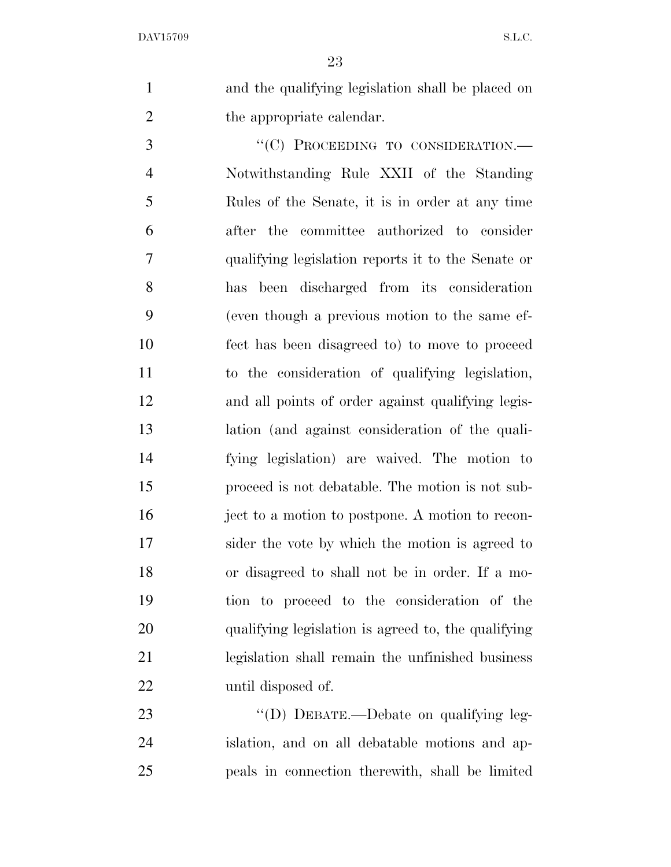and the qualifying legislation shall be placed on 2 the appropriate calendar.

3 "(C) PROCEEDING TO CONSIDERATION.— Notwithstanding Rule XXII of the Standing Rules of the Senate, it is in order at any time after the committee authorized to consider qualifying legislation reports it to the Senate or has been discharged from its consideration (even though a previous motion to the same ef- fect has been disagreed to) to move to proceed to the consideration of qualifying legislation, and all points of order against qualifying legis- lation (and against consideration of the quali- fying legislation) are waived. The motion to proceed is not debatable. The motion is not sub- ject to a motion to postpone. A motion to recon- sider the vote by which the motion is agreed to or disagreed to shall not be in order. If a mo- tion to proceed to the consideration of the qualifying legislation is agreed to, the qualifying legislation shall remain the unfinished business until disposed of.

23 "'(D) DEBATE.—Debate on qualifying leg- islation, and on all debatable motions and ap-peals in connection therewith, shall be limited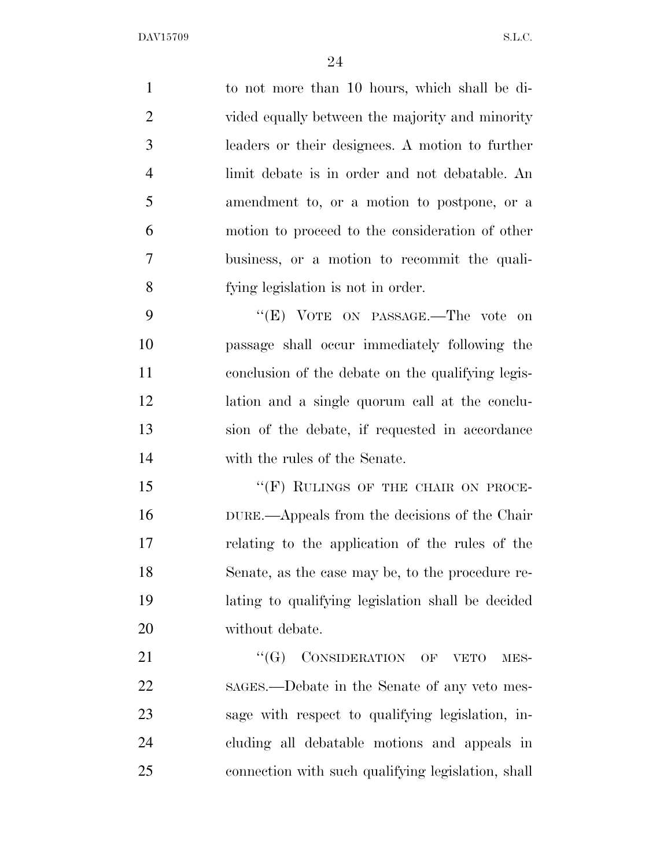to not more than 10 hours, which shall be di- vided equally between the majority and minority leaders or their designees. A motion to further limit debate is in order and not debatable. An amendment to, or a motion to postpone, or a motion to proceed to the consideration of other business, or a motion to recommit the quali-fying legislation is not in order.

9 "'(E) VOTE ON PASSAGE.—The vote on passage shall occur immediately following the conclusion of the debate on the qualifying legis- lation and a single quorum call at the conclu- sion of the debate, if requested in accordance with the rules of the Senate.

15 ""(F) RULINGS OF THE CHAIR ON PROCE- DURE.—Appeals from the decisions of the Chair relating to the application of the rules of the Senate, as the case may be, to the procedure re- lating to qualifying legislation shall be decided without debate.

21 ""(G) CONSIDERATION OF VETO MES- SAGES.—Debate in the Senate of any veto mes- sage with respect to qualifying legislation, in- cluding all debatable motions and appeals in connection with such qualifying legislation, shall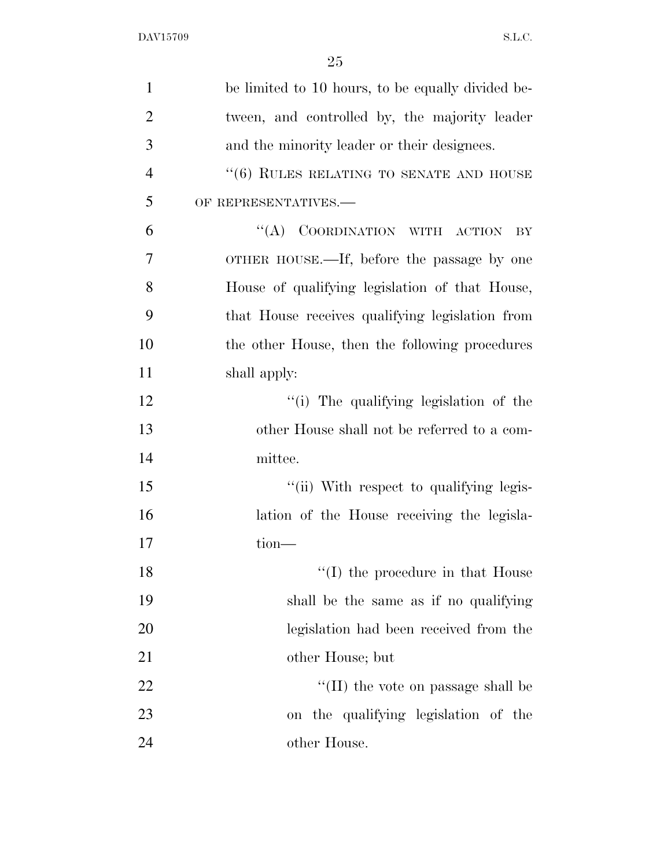| $\mathbf{1}$   | be limited to 10 hours, to be equally divided be- |
|----------------|---------------------------------------------------|
| $\overline{2}$ | tween, and controlled by, the majority leader     |
| 3              | and the minority leader or their designees.       |
| $\overline{4}$ | "(6) RULES RELATING TO SENATE AND HOUSE           |
| 5              | OF REPRESENTATIVES.-                              |
| 6              | "(A) COORDINATION WITH ACTION<br>BY               |
| 7              | OTHER HOUSE.—If, before the passage by one        |
| 8              | House of qualifying legislation of that House,    |
| 9              | that House receives qualifying legislation from   |
| 10             | the other House, then the following procedures    |
| 11             | shall apply:                                      |
| 12             | "(i) The qualifying legislation of the            |
| 13             | other House shall not be referred to a com-       |
| 14             | mittee.                                           |
| 15             | "(ii) With respect to qualifying legis-           |
| 16             | lation of the House receiving the legisla-        |
| 17             | tion-                                             |
| 18             | $\lq\lq$ (I) the procedure in that House          |
| 19             | shall be the same as if no qualifying             |
| 20             | legislation had been received from the            |
| 21             | other House; but                                  |
| 22             | "(II) the vote on passage shall be                |
| 23             | on the qualifying legislation of the              |
| 24             | other House.                                      |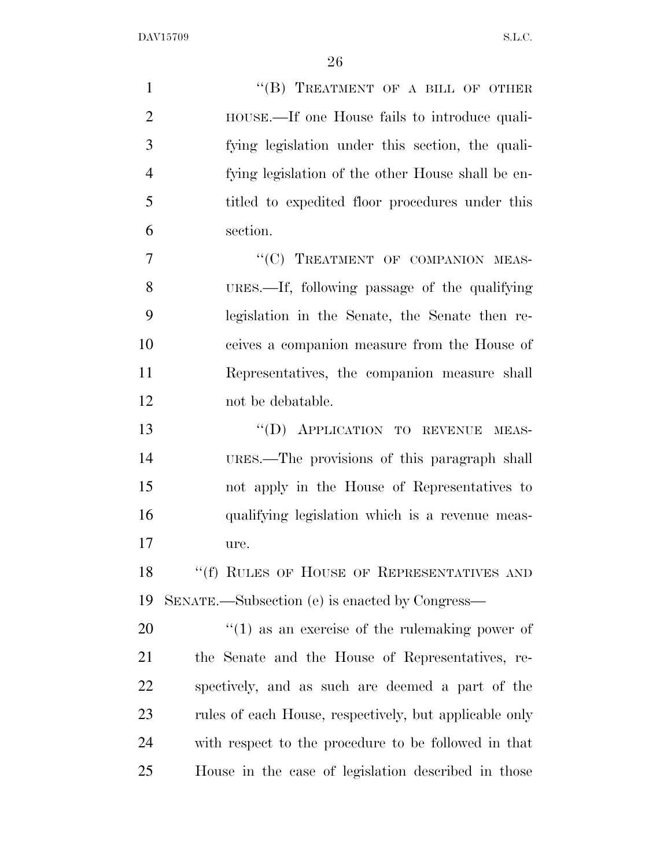| $\mathbf{1}$   | "(B) TREATMENT OF A BILL OF OTHER                      |
|----------------|--------------------------------------------------------|
| $\overline{2}$ | HOUSE.—If one House fails to introduce quali-          |
| 3              | fying legislation under this section, the quali-       |
| $\overline{4}$ | fying legislation of the other House shall be en-      |
| 5              | titled to expedited floor procedures under this        |
| 6              | section.                                               |
| 7              | "(C) TREATMENT OF COMPANION MEAS-                      |
| 8              | URES.—If, following passage of the qualifying          |
| 9              | legislation in the Senate, the Senate then re-         |
| 10             | ceives a companion measure from the House of           |
| 11             | Representatives, the companion measure shall           |
| 12             | not be debatable.                                      |
| 13             | "(D) APPLICATION TO REVENUE<br>MEAS-                   |
| 14             | URES.—The provisions of this paragraph shall           |
| 15             | not apply in the House of Representatives to           |
| 16             | qualifying legislation which is a revenue meas-        |
| 17             | ure.                                                   |
| 18             | "(f) RULES OF HOUSE OF REPRESENTATIVES AND             |
| 19             | SENATE.—Subsection (e) is enacted by Congress—         |
| 20             | $f'(1)$ as an exercise of the rule making power of     |
| 21             | the Senate and the House of Representatives, re-       |
| 22             | spectively, and as such are deemed a part of the       |
| 23             | rules of each House, respectively, but applicable only |
| 24             | with respect to the procedure to be followed in that   |
| 25             | House in the case of legislation described in those    |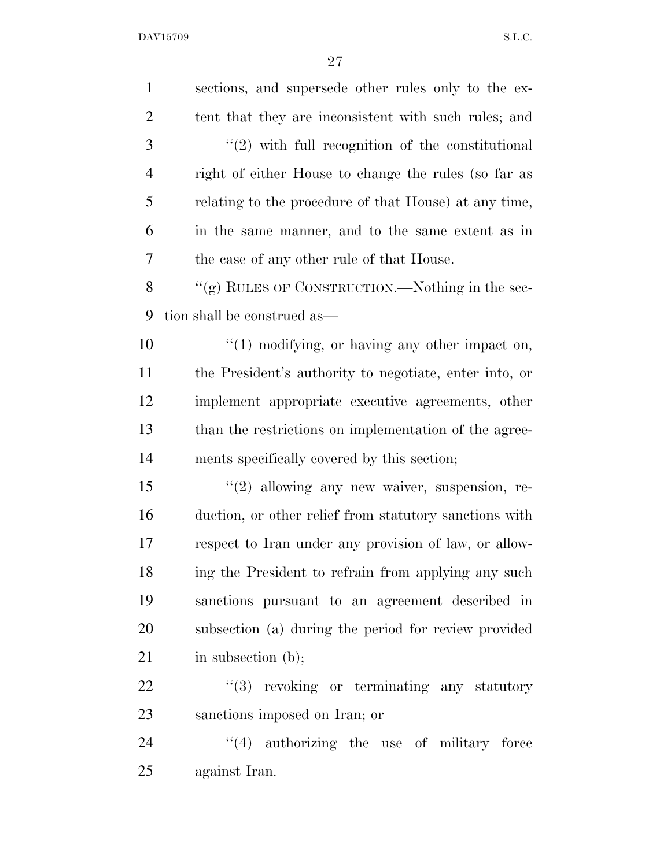| $\mathbf{1}$   | sections, and supersede other rules only to the ex-    |
|----------------|--------------------------------------------------------|
| $\overline{2}$ | tent that they are inconsistent with such rules; and   |
| 3              | $\lq(2)$ with full recognition of the constitutional   |
| 4              | right of either House to change the rules (so far as   |
| 5              | relating to the procedure of that House) at any time,  |
| 6              | in the same manner, and to the same extent as in       |
| 7              | the case of any other rule of that House.              |
| 8              | "(g) RULES OF CONSTRUCTION.—Nothing in the sec-        |
| 9              | tion shall be construed as—                            |
| 10             | $\lq(1)$ modifying, or having any other impact on,     |
| 11             | the President's authority to negotiate, enter into, or |
| 12             | implement appropriate executive agreements, other      |
| 13             | than the restrictions on implementation of the agree-  |
| 14             | ments specifically covered by this section;            |
| 15             | $\lq(2)$ allowing any new waiver, suspension, re-      |
| 16             | duction, or other relief from statutory sanctions with |
| 17             | respect to Iran under any provision of law, or allow-  |
| 18             | ing the President to refrain from applying any such    |
| 19             | sanctions pursuant to an agreement described in        |
| 20             | subsection (a) during the period for review provided   |
| 21             | in subsection (b);                                     |
| 22             | "(3) revoking or terminating any statutory             |
| 23             | sanctions imposed on Iran; or                          |
| 24             | $\lq(4)$ authorizing the use of military force         |
| 25             | against Iran.                                          |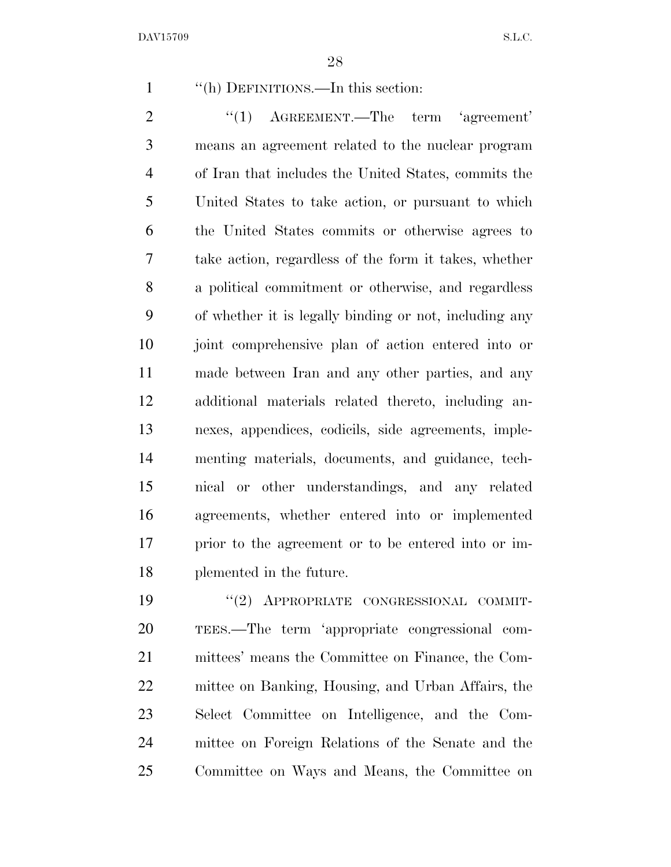''(h) DEFINITIONS.—In this section:

2 "(1) AGREEMENT.—The term 'agreement' means an agreement related to the nuclear program of Iran that includes the United States, commits the United States to take action, or pursuant to which the United States commits or otherwise agrees to take action, regardless of the form it takes, whether a political commitment or otherwise, and regardless of whether it is legally binding or not, including any joint comprehensive plan of action entered into or made between Iran and any other parties, and any additional materials related thereto, including an- nexes, appendices, codicils, side agreements, imple- menting materials, documents, and guidance, tech- nical or other understandings, and any related agreements, whether entered into or implemented prior to the agreement or to be entered into or im-plemented in the future.

 ''(2) APPROPRIATE CONGRESSIONAL COMMIT- TEES.—The term 'appropriate congressional com- mittees' means the Committee on Finance, the Com- mittee on Banking, Housing, and Urban Affairs, the Select Committee on Intelligence, and the Com- mittee on Foreign Relations of the Senate and the Committee on Ways and Means, the Committee on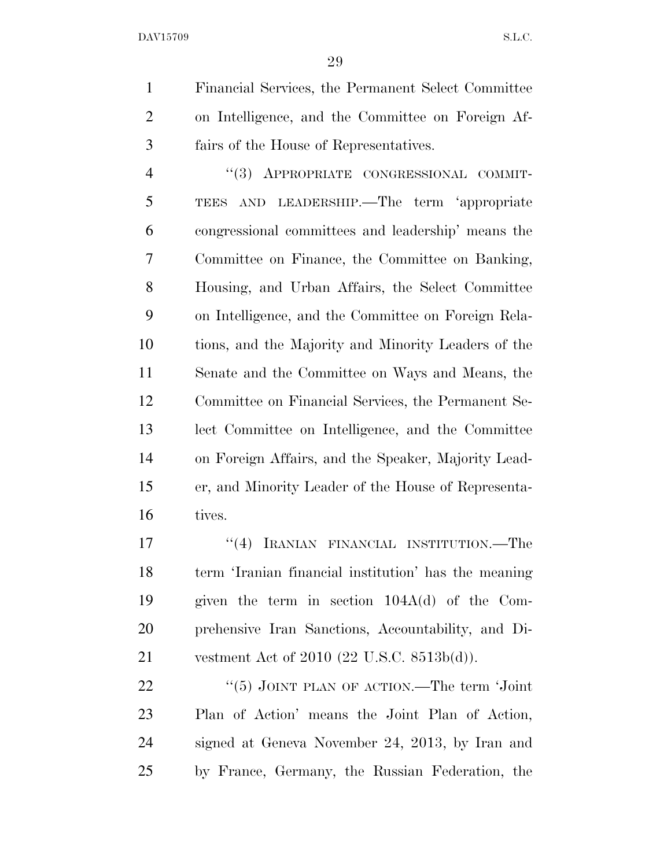Financial Services, the Permanent Select Committee on Intelligence, and the Committee on Foreign Af-fairs of the House of Representatives.

 ''(3) APPROPRIATE CONGRESSIONAL COMMIT- TEES AND LEADERSHIP.—The term 'appropriate congressional committees and leadership' means the Committee on Finance, the Committee on Banking, Housing, and Urban Affairs, the Select Committee on Intelligence, and the Committee on Foreign Rela- tions, and the Majority and Minority Leaders of the Senate and the Committee on Ways and Means, the Committee on Financial Services, the Permanent Se- lect Committee on Intelligence, and the Committee on Foreign Affairs, and the Speaker, Majority Lead- er, and Minority Leader of the House of Representa-tives.

17 "(4) IRANIAN FINANCIAL INSTITUTION.—The term 'Iranian financial institution' has the meaning given the term in section 104A(d) of the Com- prehensive Iran Sanctions, Accountability, and Di-vestment Act of 2010 (22 U.S.C. 8513b(d)).

22 "(5) JOINT PLAN OF ACTION.—The term 'Joint Plan of Action' means the Joint Plan of Action, signed at Geneva November 24, 2013, by Iran and by France, Germany, the Russian Federation, the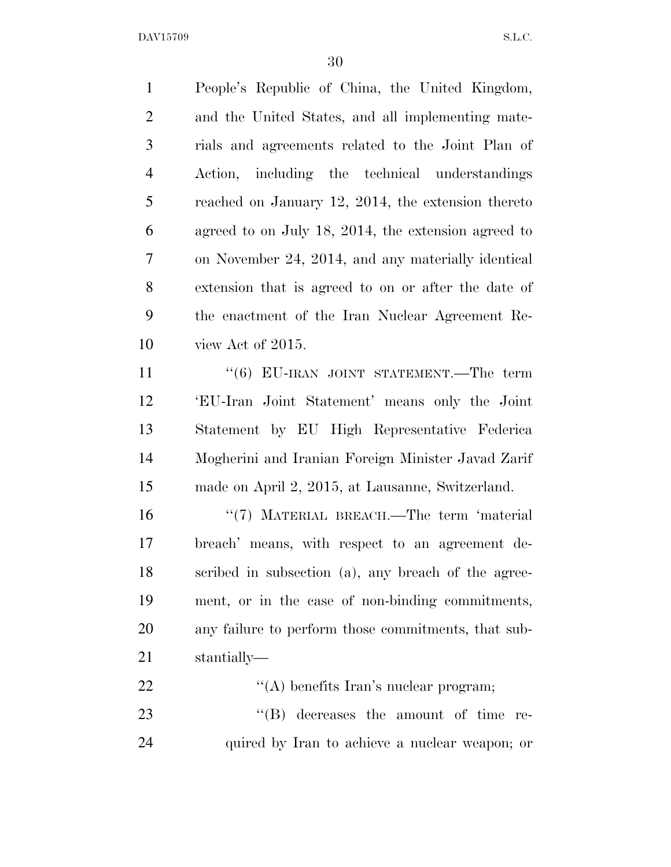People's Republic of China, the United Kingdom, and the United States, and all implementing mate- rials and agreements related to the Joint Plan of Action, including the technical understandings reached on January 12, 2014, the extension thereto agreed to on July 18, 2014, the extension agreed to on November 24, 2014, and any materially identical extension that is agreed to on or after the date of the enactment of the Iran Nuclear Agreement Re- view Act of 2015. 11 ''(6) EU-IRAN JOINT STATEMENT.—The term 'EU-Iran Joint Statement' means only the Joint Statement by EU High Representative Federica Mogherini and Iranian Foreign Minister Javad Zarif made on April 2, 2015, at Lausanne, Switzerland. 16 "(7) MATERIAL BREACH.—The term 'material breach' means, with respect to an agreement de- scribed in subsection (a), any breach of the agree- ment, or in the case of non-binding commitments, any failure to perform those commitments, that sub- stantially—  $\langle (A) \rangle$  benefits Iran's nuclear program;

23  $"$ (B) decreases the amount of time re-quired by Iran to achieve a nuclear weapon; or